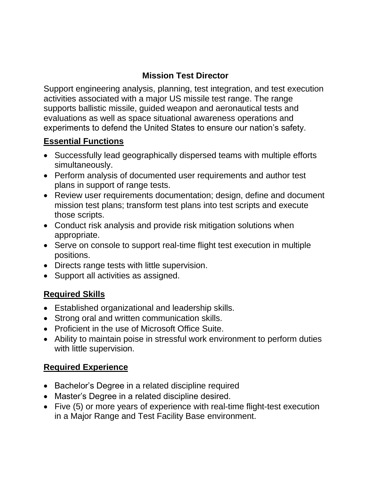## **Mission Test Director**

Support engineering analysis, planning, test integration, and test execution activities associated with a major US missile test range. The range supports ballistic missile, guided weapon and aeronautical tests and evaluations as well as space situational awareness operations and experiments to defend the United States to ensure our nation's safety.

### **Essential Functions**

- Successfully lead geographically dispersed teams with multiple efforts simultaneously.
- Perform analysis of documented user requirements and author test plans in support of range tests.
- Review user requirements documentation; design, define and document mission test plans; transform test plans into test scripts and execute those scripts.
- Conduct risk analysis and provide risk mitigation solutions when appropriate.
- Serve on console to support real-time flight test execution in multiple positions.
- Directs range tests with little supervision.
- Support all activities as assigned.

## **Required Skills**

- Established organizational and leadership skills.
- Strong oral and written communication skills.
- Proficient in the use of Microsoft Office Suite.
- Ability to maintain poise in stressful work environment to perform duties with little supervision.

## **Required Experience**

- Bachelor's Degree in a related discipline required
- Master's Degree in a related discipline desired.
- Five (5) or more years of experience with real-time flight-test execution in a Major Range and Test Facility Base environment.